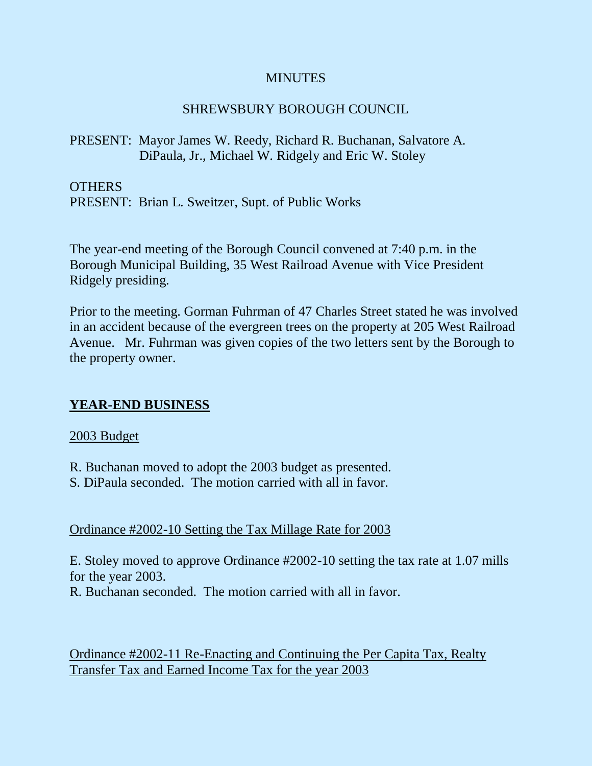### **MINUTES**

## SHREWSBURY BOROUGH COUNCIL

## PRESENT: Mayor James W. Reedy, Richard R. Buchanan, Salvatore A. DiPaula, Jr., Michael W. Ridgely and Eric W. Stoley

OTHERS

PRESENT: Brian L. Sweitzer, Supt. of Public Works

The year-end meeting of the Borough Council convened at 7:40 p.m. in the Borough Municipal Building, 35 West Railroad Avenue with Vice President Ridgely presiding.

Prior to the meeting. Gorman Fuhrman of 47 Charles Street stated he was involved in an accident because of the evergreen trees on the property at 205 West Railroad Avenue. Mr. Fuhrman was given copies of the two letters sent by the Borough to the property owner.

## **YEAR-END BUSINESS**

#### 2003 Budget

R. Buchanan moved to adopt the 2003 budget as presented.

S. DiPaula seconded. The motion carried with all in favor.

Ordinance #2002-10 Setting the Tax Millage Rate for 2003

E. Stoley moved to approve Ordinance #2002-10 setting the tax rate at 1.07 mills for the year 2003.

R. Buchanan seconded. The motion carried with all in favor.

Ordinance #2002-11 Re-Enacting and Continuing the Per Capita Tax, Realty Transfer Tax and Earned Income Tax for the year 2003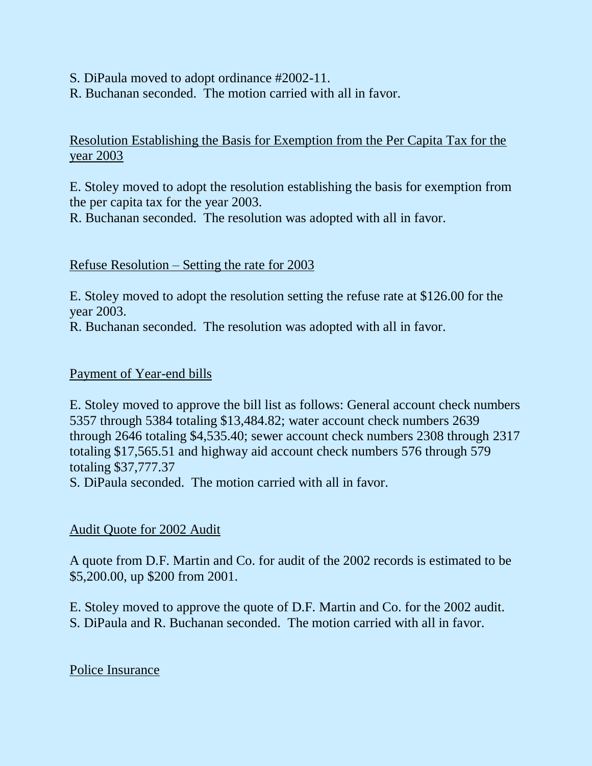- S. DiPaula moved to adopt ordinance #2002-11.
- R. Buchanan seconded. The motion carried with all in favor.

Resolution Establishing the Basis for Exemption from the Per Capita Tax for the year 2003

E. Stoley moved to adopt the resolution establishing the basis for exemption from the per capita tax for the year 2003.

R. Buchanan seconded. The resolution was adopted with all in favor.

### Refuse Resolution – Setting the rate for 2003

E. Stoley moved to adopt the resolution setting the refuse rate at \$126.00 for the year 2003.

R. Buchanan seconded. The resolution was adopted with all in favor.

### Payment of Year-end bills

E. Stoley moved to approve the bill list as follows: General account check numbers 5357 through 5384 totaling \$13,484.82; water account check numbers 2639 through 2646 totaling \$4,535.40; sewer account check numbers 2308 through 2317 totaling \$17,565.51 and highway aid account check numbers 576 through 579 totaling \$37,777.37

S. DiPaula seconded. The motion carried with all in favor.

## Audit Quote for 2002 Audit

A quote from D.F. Martin and Co. for audit of the 2002 records is estimated to be \$5,200.00, up \$200 from 2001.

E. Stoley moved to approve the quote of D.F. Martin and Co. for the 2002 audit.

S. DiPaula and R. Buchanan seconded. The motion carried with all in favor.

Police Insurance